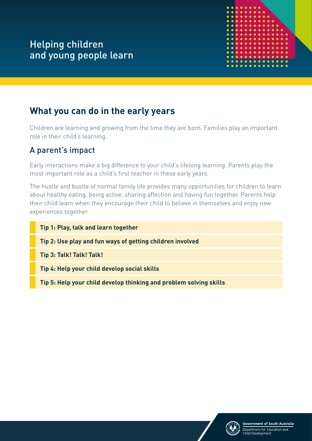

# **What you can do in the early years**

Children are learning and growing from the time they are born. Families play an important role in their child's learning.

# A parent's impact

Early interactions make a big difference to your child's lifelong learning. Parents play the most important role as a child's first teacher in these early years.

The hustle and bustle of normal family life provides many opportunities for children to learn about healthy eating, being active, sharing affection and having fun together. Parents help their child learn when they encourage their child to believe in themselves and enjoy new experiences together.

## **Tip 1: Play, talk and learn together**

**Tip 2: Use play and fun ways of getting children involved**

**Tip 3: Talk! Talk! Talk!**

**Tip 4: Help your child develop social skills**

**Tip 5: Help your child develop thinking and problem solving skills**

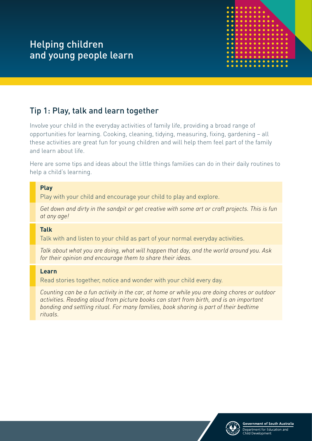

# Tip 1: Play, talk and learn together

Involve your child in the everyday activities of family life, providing a broad range of opportunities for learning. Cooking, cleaning, tidying, measuring, fixing, gardening – all these activities are great fun for young children and will help them feel part of the family and learn about life.

Here are some tips and ideas about the little things families can do in their daily routines to help a child's learning.

#### **Play**

Play with your child and encourage your child to play and explore.

*Get down and dirty in the sandpit or get creative with some art or craft projects. This is fun at any age!*

#### **Talk**

Talk with and listen to your child as part of your normal everyday activities.

*Talk about what you are doing, what will happen that day, and the world around you. Ask for their opinion and encourage them to share their ideas.*

#### **Learn**

Read stories together, notice and wonder with your child every day.

*Counting can be a fun activity in the car, at home or while you are doing chores or outdoor activities. Reading aloud from picture books can start from birth, and is an important bonding and settling ritual. For many families, book sharing is part of their bedtime rituals.*

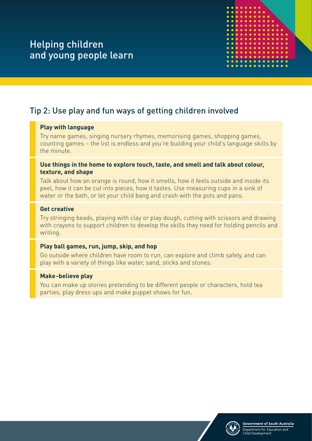

# Tip 2: Use play and fun ways of getting children involved

#### **Play with language**

Try name games, singing nursery rhymes, memorising games, shopping games, counting games – the list is endless and you're building your child's language skills by the minute.

#### **Use things in the home to explore touch, taste, and smell and talk about colour, texture, and shape**

Talk about how an orange is round, how it smells, how it feels outside and inside its peel, how it can be cut into pieces, how it tastes. Use measuring cups in a sink of water or the bath, or let your child bang and crash with the pots and pans.

#### **Get creative**

Try stringing beads, playing with clay or play dough, cutting with scissors and drawing with crayons to support children to develop the skills they need for holding pencils and writing.

#### **Play ball games, run, jump, skip, and hop**

Go outside where children have room to run, can explore and climb safely, and can play with a variety of things like water, sand, sticks and stones.

#### **Make-believe play**

You can make up stories pretending to be different people or characters, hold tea parties, play dress ups and make puppet shows for fun.

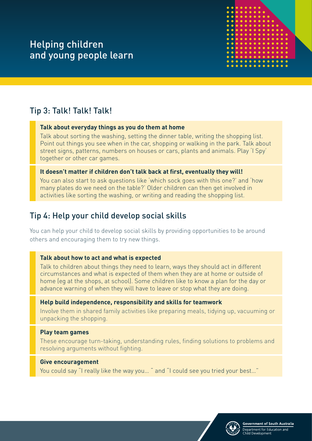

# Tip 3: Talk! Talk! Talk!

### **Talk about everyday things as you do them at home**

Talk about sorting the washing, setting the dinner table, writing the shopping list. Point out things you see when in the car, shopping or walking in the park. Talk about street signs, patterns, numbers on houses or cars, plants and animals. Play 'I Spy' together or other car games.

### **It doesn't matter if children don't talk back at first, eventually they will!**

You can also start to ask questions like 'which sock goes with this one?' and 'how many plates do we need on the table?' Older children can then get involved in activities like sorting the washing, or writing and reading the shopping list.

## Tip 4: Help your child develop social skills

You can help your child to develop social skills by providing opportunities to be around others and encouraging them to try new things.

## **Talk about how to act and what is expected**

Talk to children about things they need to learn, ways they should act in different circumstances and what is expected of them when they are at home or outside of home (eg at the shops, at school). Some children like to know a plan for the day or advance warning of when they will have to leave or stop what they are doing.

## **Help build independence, responsibility and skills for teamwork**

Involve them in shared family activities like preparing meals, tidying up, vacuuming or unpacking the shopping.

## **Play team games**

These encourage turn-taking, understanding rules, finding solutions to problems and resolving arguments without fighting.

## **Give encouragement**

You could say "I really like the way you... " and "I could see you tried your best..."

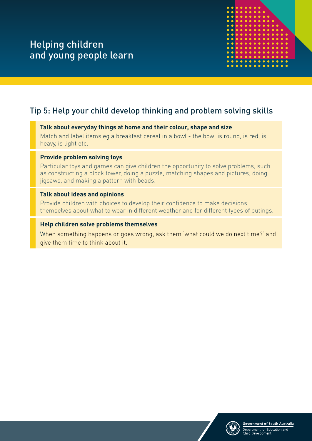

## Tip 5: Help your child develop thinking and problem solving skills

#### **Talk about everyday things at home and their colour, shape and size**

Match and label items eg a breakfast cereal in a bowl - the bowl is round, is red, is heavy, is light etc.

#### **Provide problem solving toys**

Particular toys and games can give children the opportunity to solve problems, such as constructing a block tower, doing a puzzle, matching shapes and pictures, doing jigsaws, and making a pattern with beads.

#### **Talk about ideas and opinions**

Provide children with choices to develop their confidence to make decisions themselves about what to wear in different weather and for different types of outings.

#### **Help children solve problems themselves**

When something happens or goes wrong, ask them 'what could we do next time?' and give them time to think about it.